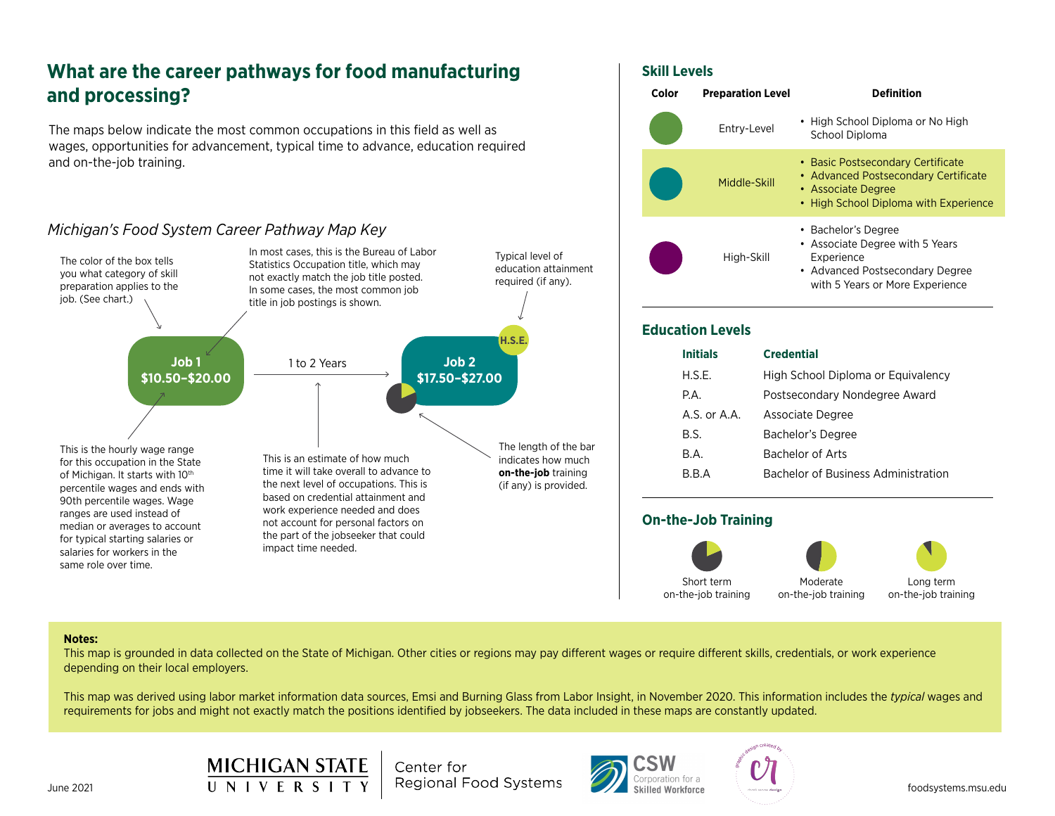# **What are the career pathways for food manufacturing and processing?**

The maps below indicate the most common occupations in this field as well as wages, opportunities for advancement, typical time to advance, education required and on-the-job training.

## *Michigan's Food System Career Pathway Map Key*





#### **Education Levels**

| <b>Initials</b>  | <b>Credential</b>                   |
|------------------|-------------------------------------|
| H.S.E.           | High School Diploma or Equivalency  |
| P.A.             | Postsecondary Nondegree Award       |
| $A.S.$ or $A.A.$ | Associate Degree                    |
| B.S.             | Bachelor's Degree                   |
| B.A.             | Bachelor of Arts                    |
| R R A            | Bachelor of Business Administration |
|                  |                                     |

### **On-the-Job Training**



Long term on-the-job training

#### **Notes:**

This map is grounded in data collected on the State of Michigan. Other cities or regions may pay different wages or require different skills, credentials, or work experience depending on their local employers.

This map was derived using labor market information data sources, Emsi and Burning Glass from Labor Insight, in November 2020. This information includes the *typical* wages and requirements for jobs and might not exactly match the positions identified by jobseekers. The data included in these maps are constantly updated.





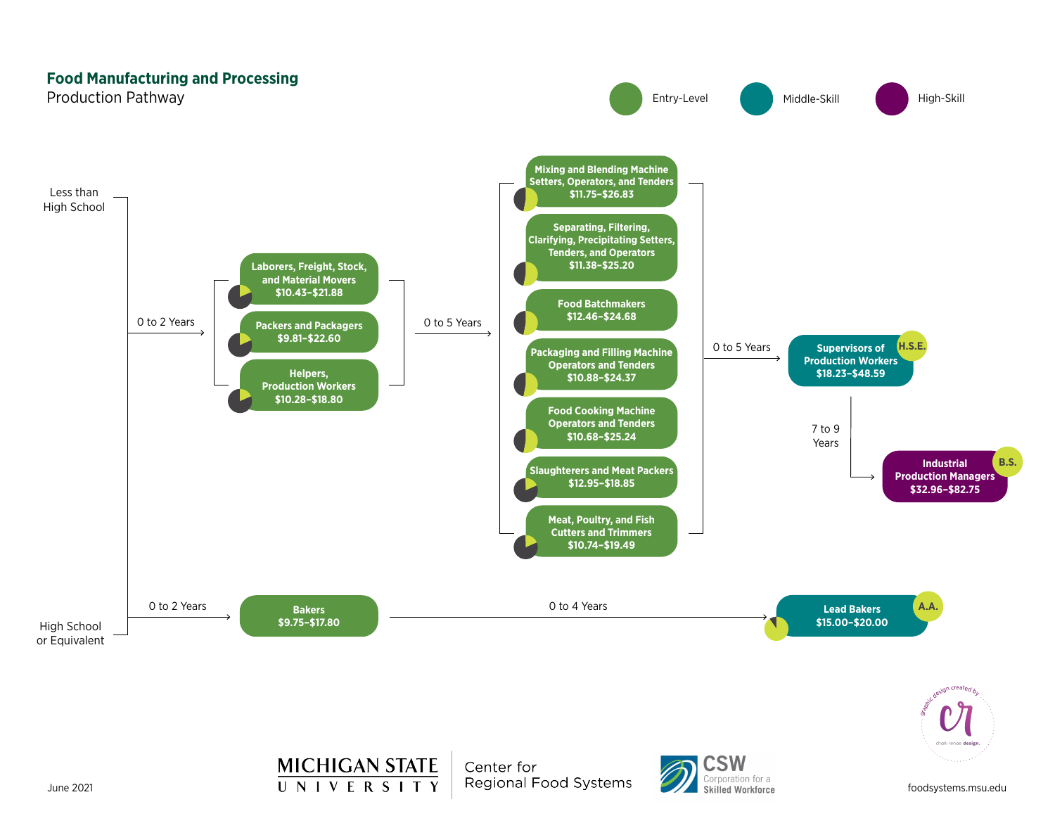### **Food Manufacturing and Processing**





**MICHIGAN STATE** June 2021 **Subset Contains To Allen State of the Constant Convention Corporation for a** 

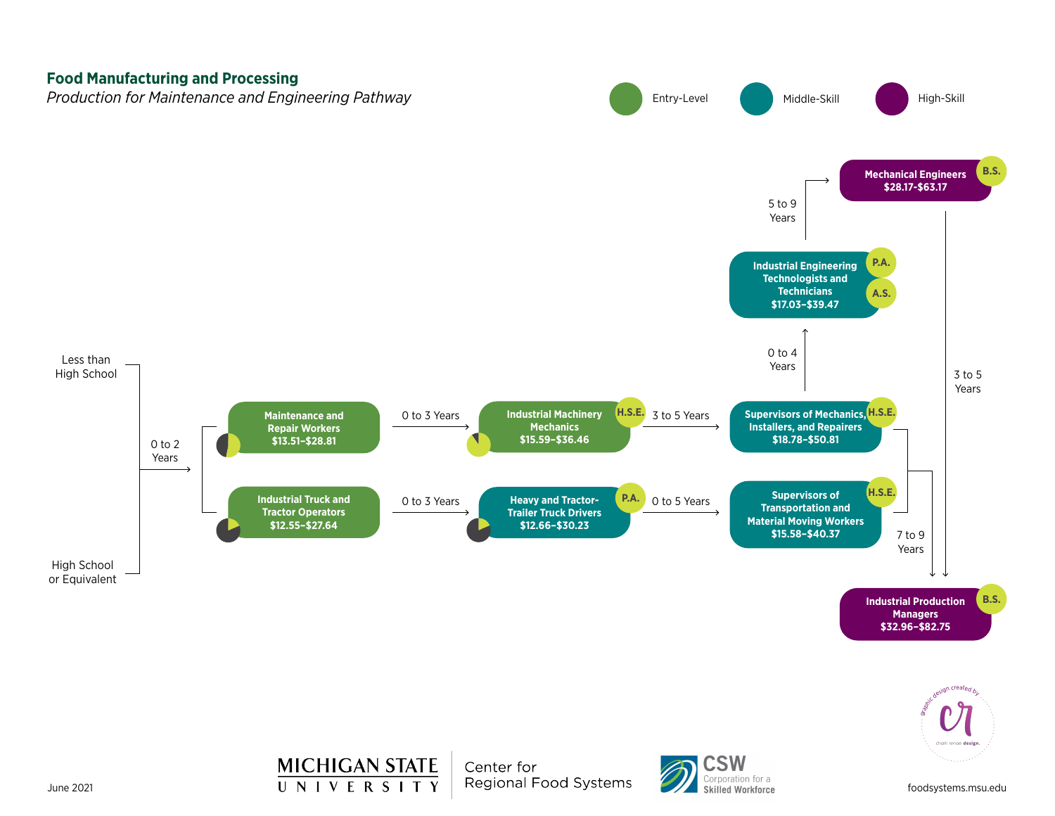



**MICHIGAN STATE** June 2021 **Subset Contains To Allen State of the Constant Convention Corporation for a**